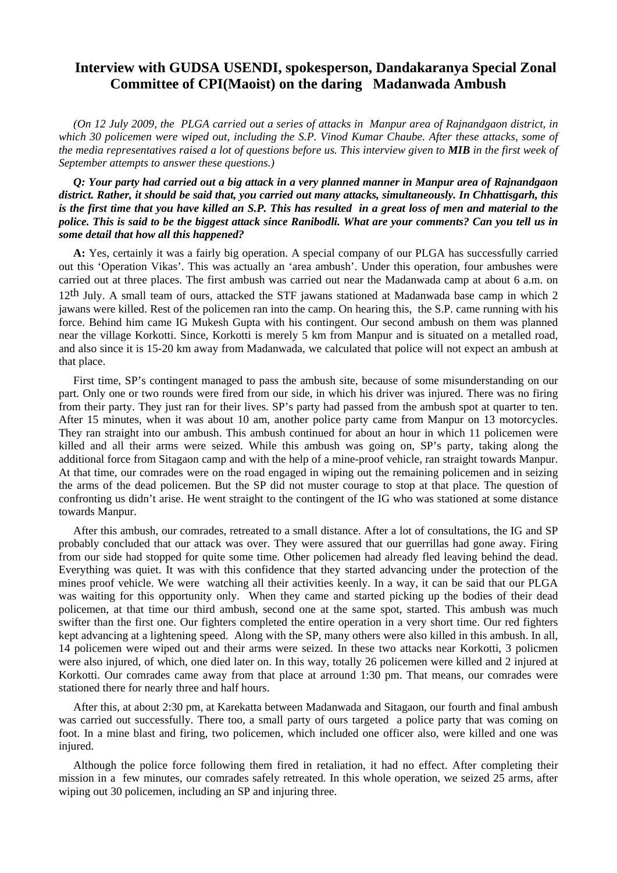# **Interview with GUDSA USENDI, spokesperson, Dandakaranya Special Zonal Committee of CPI(Maoist) on the daring Madanwada Ambush**

*(On 12 July 2009, the PLGA carried out a series of attacks in Manpur area of Rajnandgaon district, in which 30 policemen were wiped out, including the S.P. Vinod Kumar Chaube. After these attacks, some of the media representatives raised a lot of questions before us. This interview given to MIB in the first week of September attempts to answer these questions.)* 

*Q: Your party had carried out a big attack in a very planned manner in Manpur area of Rajnandgaon district. Rather, it should be said that, you carried out many attacks, simultaneously. In Chhattisgarh, this is the first time that you have killed an S.P. This has resulted in a great loss of men and material to the police. This is said to be the biggest attack since Ranibodli. What are your comments? Can you tell us in some detail that how all this happened?* 

**A:** Yes, certainly it was a fairly big operation. A special company of our PLGA has successfully carried out this 'Operation Vikas'. This was actually an 'area ambush'. Under this operation, four ambushes were carried out at three places. The first ambush was carried out near the Madanwada camp at about 6 a.m. on 12th July. A small team of ours, attacked the STF jawans stationed at Madanwada base camp in which 2 jawans were killed. Rest of the policemen ran into the camp. On hearing this, the S.P. came running with his force. Behind him came IG Mukesh Gupta with his contingent. Our second ambush on them was planned near the village Korkotti. Since, Korkotti is merely 5 km from Manpur and is situated on a metalled road, and also since it is 15-20 km away from Madanwada, we calculated that police will not expect an ambush at that place.

First time, SP's contingent managed to pass the ambush site, because of some misunderstanding on our part. Only one or two rounds were fired from our side, in which his driver was injured. There was no firing from their party. They just ran for their lives. SP's party had passed from the ambush spot at quarter to ten. After 15 minutes, when it was about 10 am, another police party came from Manpur on 13 motorcycles. They ran straight into our ambush. This ambush continued for about an hour in which 11 policemen were killed and all their arms were seized. While this ambush was going on, SP's party, taking along the additional force from Sitagaon camp and with the help of a mine-proof vehicle, ran straight towards Manpur. At that time, our comrades were on the road engaged in wiping out the remaining policemen and in seizing the arms of the dead policemen. But the SP did not muster courage to stop at that place. The question of confronting us didn't arise. He went straight to the contingent of the IG who was stationed at some distance towards Manpur.

After this ambush, our comrades, retreated to a small distance. After a lot of consultations, the IG and SP probably concluded that our attack was over. They were assured that our guerrillas had gone away. Firing from our side had stopped for quite some time. Other policemen had already fled leaving behind the dead. Everything was quiet. It was with this confidence that they started advancing under the protection of the mines proof vehicle. We were watching all their activities keenly. In a way, it can be said that our PLGA was waiting for this opportunity only. When they came and started picking up the bodies of their dead policemen, at that time our third ambush, second one at the same spot, started. This ambush was much swifter than the first one. Our fighters completed the entire operation in a very short time. Our red fighters kept advancing at a lightening speed. Along with the SP, many others were also killed in this ambush. In all, 14 policemen were wiped out and their arms were seized. In these two attacks near Korkotti, 3 policmen were also injured, of which, one died later on. In this way, totally 26 policemen were killed and 2 injured at Korkotti. Our comrades came away from that place at arround 1:30 pm. That means, our comrades were stationed there for nearly three and half hours.

After this, at about 2:30 pm, at Karekatta between Madanwada and Sitagaon, our fourth and final ambush was carried out successfully. There too, a small party of ours targeted a police party that was coming on foot. In a mine blast and firing, two policemen, which included one officer also, were killed and one was injured.

Although the police force following them fired in retaliation, it had no effect. After completing their mission in a few minutes, our comrades safely retreated. In this whole operation, we seized 25 arms, after wiping out 30 policemen, including an SP and injuring three.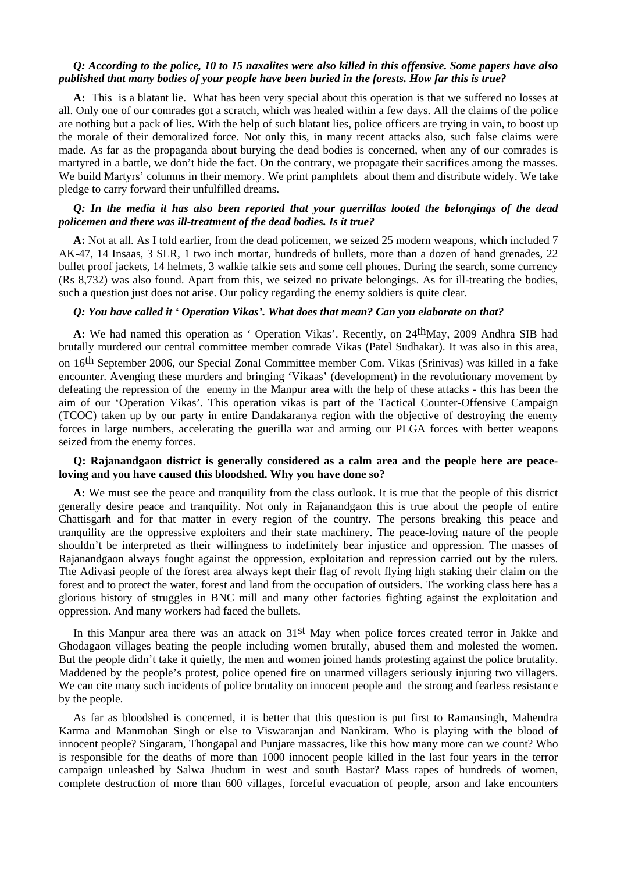# *Q: According to the police, 10 to 15 naxalites were also killed in this offensive. Some papers have also published that many bodies of your people have been buried in the forests. How far this is true?*

**A:** This is a blatant lie. What has been very special about this operation is that we suffered no losses at all. Only one of our comrades got a scratch, which was healed within a few days. All the claims of the police are nothing but a pack of lies. With the help of such blatant lies, police officers are trying in vain, to boost up the morale of their demoralized force. Not only this, in many recent attacks also, such false claims were made. As far as the propaganda about burying the dead bodies is concerned, when any of our comrades is martyred in a battle, we don't hide the fact. On the contrary, we propagate their sacrifices among the masses. We build Martyrs' columns in their memory. We print pamphlets about them and distribute widely. We take pledge to carry forward their unfulfilled dreams.

#### *Q: In the media it has also been reported that your guerrillas looted the belongings of the dead policemen and there was ill-treatment of the dead bodies. Is it true?*

**A:** Not at all. As I told earlier, from the dead policemen, we seized 25 modern weapons, which included 7 AK-47, 14 Insaas, 3 SLR, 1 two inch mortar, hundreds of bullets, more than a dozen of hand grenades, 22 bullet proof jackets, 14 helmets, 3 walkie talkie sets and some cell phones. During the search, some currency (Rs 8,732) was also found. Apart from this, we seized no private belongings. As for ill-treating the bodies, such a question just does not arise. Our policy regarding the enemy soldiers is quite clear.

# *Q: You have called it ' Operation Vikas'. What does that mean? Can you elaborate on that?*

A: We had named this operation as 'Operation Vikas'. Recently, on 24<sup>th</sup>May, 2009 Andhra SIB had brutally murdered our central committee member comrade Vikas (Patel Sudhakar). It was also in this area, on 16th September 2006, our Special Zonal Committee member Com. Vikas (Srinivas) was killed in a fake encounter. Avenging these murders and bringing 'Vikaas' (development) in the revolutionary movement by defeating the repression of the enemy in the Manpur area with the help of these attacks - this has been the aim of our 'Operation Vikas'. This operation vikas is part of the Tactical Counter-Offensive Campaign (TCOC) taken up by our party in entire Dandakaranya region with the objective of destroying the enemy forces in large numbers, accelerating the guerilla war and arming our PLGA forces with better weapons seized from the enemy forces.

#### **Q: Rajanandgaon district is generally considered as a calm area and the people here are peaceloving and you have caused this bloodshed. Why you have done so?**

**A:** We must see the peace and tranquility from the class outlook. It is true that the people of this district generally desire peace and tranquility. Not only in Rajanandgaon this is true about the people of entire Chattisgarh and for that matter in every region of the country. The persons breaking this peace and tranquility are the oppressive exploiters and their state machinery. The peace-loving nature of the people shouldn't be interpreted as their willingness to indefinitely bear injustice and oppression. The masses of Rajanandgaon always fought against the oppression, exploitation and repression carried out by the rulers. The Adivasi people of the forest area always kept their flag of revolt flying high staking their claim on the forest and to protect the water, forest and land from the occupation of outsiders. The working class here has a glorious history of struggles in BNC mill and many other factories fighting against the exploitation and oppression. And many workers had faced the bullets.

In this Manpur area there was an attack on 31<sup>st</sup> May when police forces created terror in Jakke and Ghodagaon villages beating the people including women brutally, abused them and molested the women. But the people didn't take it quietly, the men and women joined hands protesting against the police brutality. Maddened by the people's protest, police opened fire on unarmed villagers seriously injuring two villagers. We can cite many such incidents of police brutality on innocent people and the strong and fearless resistance by the people.

As far as bloodshed is concerned, it is better that this question is put first to Ramansingh, Mahendra Karma and Manmohan Singh or else to Viswaranjan and Nankiram. Who is playing with the blood of innocent people? Singaram, Thongapal and Punjare massacres, like this how many more can we count? Who is responsible for the deaths of more than 1000 innocent people killed in the last four years in the terror campaign unleashed by Salwa Jhudum in west and south Bastar? Mass rapes of hundreds of women, complete destruction of more than 600 villages, forceful evacuation of people, arson and fake encounters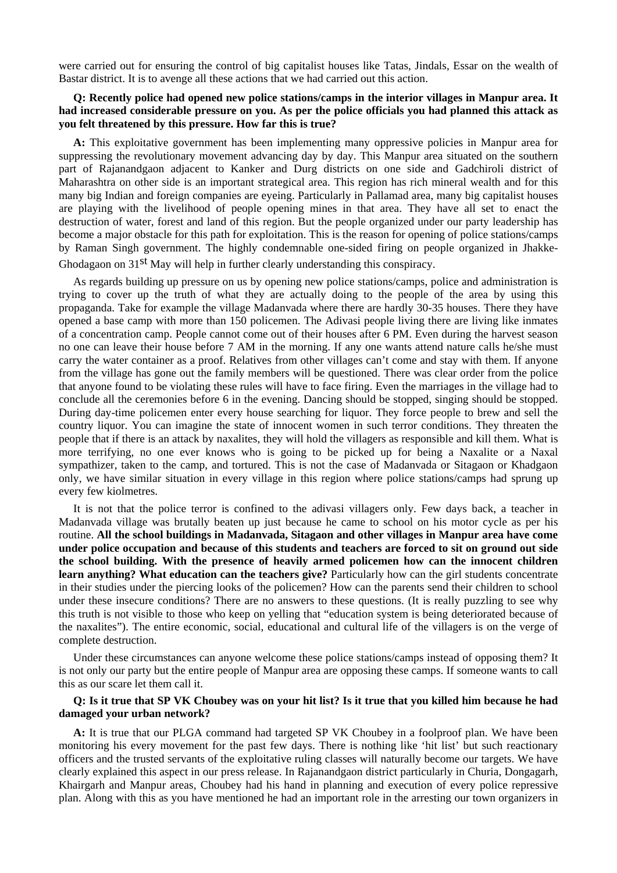were carried out for ensuring the control of big capitalist houses like Tatas, Jindals, Essar on the wealth of Bastar district. It is to avenge all these actions that we had carried out this action.

#### **Q: Recently police had opened new police stations/camps in the interior villages in Manpur area. It had increased considerable pressure on you. As per the police officials you had planned this attack as you felt threatened by this pressure. How far this is true?**

**A:** This exploitative government has been implementing many oppressive policies in Manpur area for suppressing the revolutionary movement advancing day by day. This Manpur area situated on the southern part of Rajanandgaon adjacent to Kanker and Durg districts on one side and Gadchiroli district of Maharashtra on other side is an important strategical area. This region has rich mineral wealth and for this many big Indian and foreign companies are eyeing. Particularly in Pallamad area, many big capitalist houses are playing with the livelihood of people opening mines in that area. They have all set to enact the destruction of water, forest and land of this region. But the people organized under our party leadership has become a major obstacle for this path for exploitation. This is the reason for opening of police stations/camps by Raman Singh government. The highly condemnable one-sided firing on people organized in Jhakke-Ghodagaon on 31st May will help in further clearly understanding this conspiracy.

As regards building up pressure on us by opening new police stations/camps, police and administration is trying to cover up the truth of what they are actually doing to the people of the area by using this propaganda. Take for example the village Madanvada where there are hardly 30-35 houses. There they have opened a base camp with more than 150 policemen. The Adivasi people living there are living like inmates of a concentration camp. People cannot come out of their houses after 6 PM. Even during the harvest season no one can leave their house before 7 AM in the morning. If any one wants attend nature calls he/she must carry the water container as a proof. Relatives from other villages can't come and stay with them. If anyone from the village has gone out the family members will be questioned. There was clear order from the police that anyone found to be violating these rules will have to face firing. Even the marriages in the village had to conclude all the ceremonies before 6 in the evening. Dancing should be stopped, singing should be stopped. During day-time policemen enter every house searching for liquor. They force people to brew and sell the country liquor. You can imagine the state of innocent women in such terror conditions. They threaten the people that if there is an attack by naxalites, they will hold the villagers as responsible and kill them. What is more terrifying, no one ever knows who is going to be picked up for being a Naxalite or a Naxal sympathizer, taken to the camp, and tortured. This is not the case of Madanvada or Sitagaon or Khadgaon only, we have similar situation in every village in this region where police stations/camps had sprung up every few kiolmetres.

It is not that the police terror is confined to the adivasi villagers only. Few days back, a teacher in Madanvada village was brutally beaten up just because he came to school on his motor cycle as per his routine. **All the school buildings in Madanvada, Sitagaon and other villages in Manpur area have come under police occupation and because of this students and teachers are forced to sit on ground out side the school building. With the presence of heavily armed policemen how can the innocent children learn anything? What education can the teachers give?** Particularly how can the girl students concentrate in their studies under the piercing looks of the policemen? How can the parents send their children to school under these insecure conditions? There are no answers to these questions. (It is really puzzling to see why this truth is not visible to those who keep on yelling that "education system is being deteriorated because of the naxalites"). The entire economic, social, educational and cultural life of the villagers is on the verge of complete destruction.

Under these circumstances can anyone welcome these police stations/camps instead of opposing them? It is not only our party but the entire people of Manpur area are opposing these camps. If someone wants to call this as our scare let them call it.

#### **Q: Is it true that SP VK Choubey was on your hit list? Is it true that you killed him because he had damaged your urban network?**

**A:** It is true that our PLGA command had targeted SP VK Choubey in a foolproof plan. We have been monitoring his every movement for the past few days. There is nothing like 'hit list' but such reactionary officers and the trusted servants of the exploitative ruling classes will naturally become our targets. We have clearly explained this aspect in our press release. In Rajanandgaon district particularly in Churia, Dongagarh, Khairgarh and Manpur areas, Choubey had his hand in planning and execution of every police repressive plan. Along with this as you have mentioned he had an important role in the arresting our town organizers in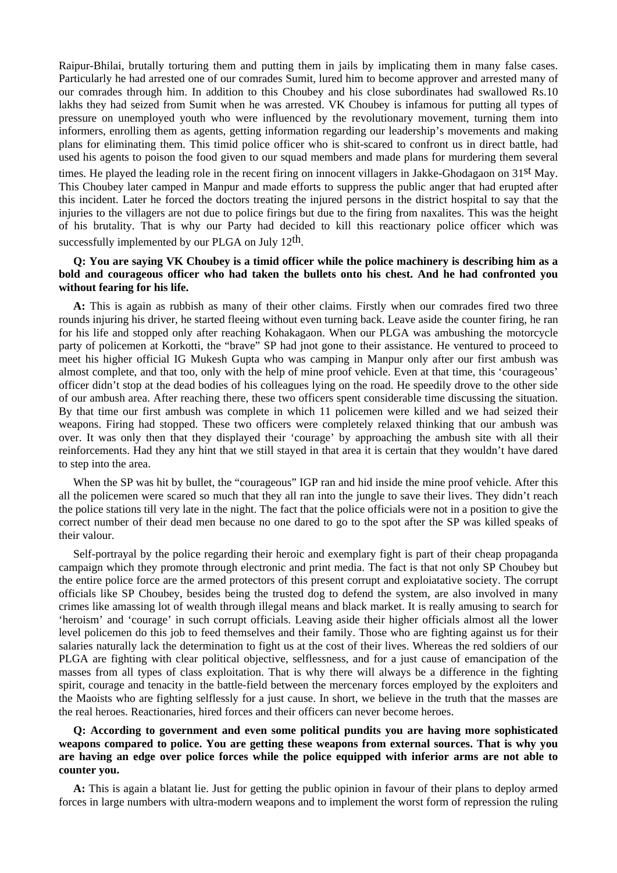Raipur-Bhilai, brutally torturing them and putting them in jails by implicating them in many false cases. Particularly he had arrested one of our comrades Sumit, lured him to become approver and arrested many of our comrades through him. In addition to this Choubey and his close subordinates had swallowed Rs.10 lakhs they had seized from Sumit when he was arrested. VK Choubey is infamous for putting all types of pressure on unemployed youth who were influenced by the revolutionary movement, turning them into informers, enrolling them as agents, getting information regarding our leadership's movements and making plans for eliminating them. This timid police officer who is shit-scared to confront us in direct battle, had used his agents to poison the food given to our squad members and made plans for murdering them several

times. He played the leading role in the recent firing on innocent villagers in Jakke-Ghodagaon on 31<sup>st</sup> May. This Choubey later camped in Manpur and made efforts to suppress the public anger that had erupted after this incident. Later he forced the doctors treating the injured persons in the district hospital to say that the injuries to the villagers are not due to police firings but due to the firing from naxalites. This was the height of his brutality. That is why our Party had decided to kill this reactionary police officer which was successfully implemented by our PLGA on July 12<sup>th</sup>.

# **Q: You are saying VK Choubey is a timid officer while the police machinery is describing him as a bold and courageous officer who had taken the bullets onto his chest. And he had confronted you without fearing for his life.**

**A:** This is again as rubbish as many of their other claims. Firstly when our comrades fired two three rounds injuring his driver, he started fleeing without even turning back. Leave aside the counter firing, he ran for his life and stopped only after reaching Kohakagaon. When our PLGA was ambushing the motorcycle party of policemen at Korkotti, the "brave" SP had jnot gone to their assistance. He ventured to proceed to meet his higher official IG Mukesh Gupta who was camping in Manpur only after our first ambush was almost complete, and that too, only with the help of mine proof vehicle. Even at that time, this 'courageous' officer didn't stop at the dead bodies of his colleagues lying on the road. He speedily drove to the other side of our ambush area. After reaching there, these two officers spent considerable time discussing the situation. By that time our first ambush was complete in which 11 policemen were killed and we had seized their weapons. Firing had stopped. These two officers were completely relaxed thinking that our ambush was over. It was only then that they displayed their 'courage' by approaching the ambush site with all their reinforcements. Had they any hint that we still stayed in that area it is certain that they wouldn't have dared to step into the area.

When the SP was hit by bullet, the "courageous" IGP ran and hid inside the mine proof vehicle. After this all the policemen were scared so much that they all ran into the jungle to save their lives. They didn't reach the police stations till very late in the night. The fact that the police officials were not in a position to give the correct number of their dead men because no one dared to go to the spot after the SP was killed speaks of their valour.

Self-portrayal by the police regarding their heroic and exemplary fight is part of their cheap propaganda campaign which they promote through electronic and print media. The fact is that not only SP Choubey but the entire police force are the armed protectors of this present corrupt and exploiatative society. The corrupt officials like SP Choubey, besides being the trusted dog to defend the system, are also involved in many crimes like amassing lot of wealth through illegal means and black market. It is really amusing to search for 'heroism' and 'courage' in such corrupt officials. Leaving aside their higher officials almost all the lower level policemen do this job to feed themselves and their family. Those who are fighting against us for their salaries naturally lack the determination to fight us at the cost of their lives. Whereas the red soldiers of our PLGA are fighting with clear political objective, selflessness, and for a just cause of emancipation of the masses from all types of class exploitation. That is why there will always be a difference in the fighting spirit, courage and tenacity in the battle-field between the mercenary forces employed by the exploiters and the Maoists who are fighting selflessly for a just cause. In short, we believe in the truth that the masses are the real heroes. Reactionaries, hired forces and their officers can never become heroes.

# **Q: According to government and even some political pundits you are having more sophisticated weapons compared to police. You are getting these weapons from external sources. That is why you are having an edge over police forces while the police equipped with inferior arms are not able to counter you.**

**A:** This is again a blatant lie. Just for getting the public opinion in favour of their plans to deploy armed forces in large numbers with ultra-modern weapons and to implement the worst form of repression the ruling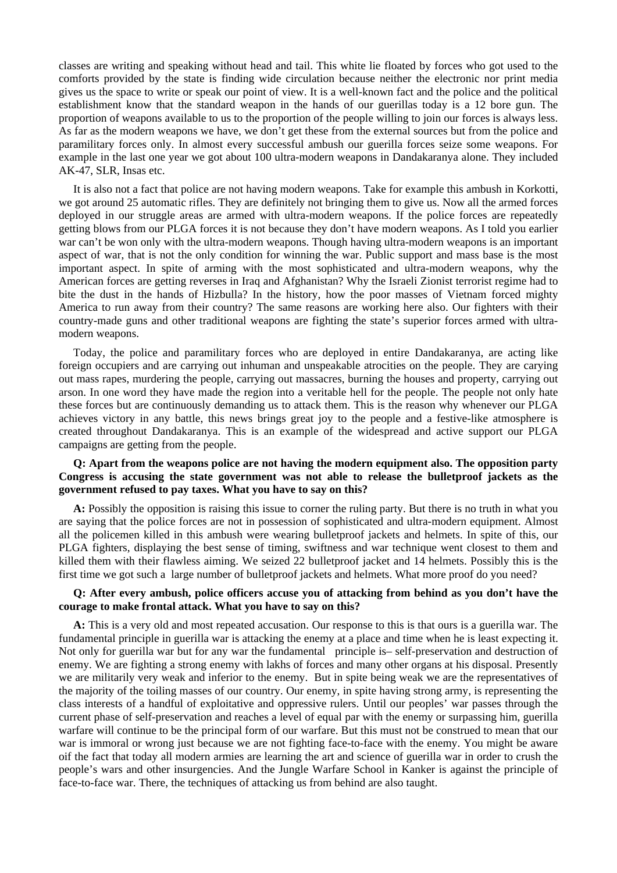classes are writing and speaking without head and tail. This white lie floated by forces who got used to the comforts provided by the state is finding wide circulation because neither the electronic nor print media gives us the space to write or speak our point of view. It is a well-known fact and the police and the political establishment know that the standard weapon in the hands of our guerillas today is a 12 bore gun. The proportion of weapons available to us to the proportion of the people willing to join our forces is always less. As far as the modern weapons we have, we don't get these from the external sources but from the police and paramilitary forces only. In almost every successful ambush our guerilla forces seize some weapons. For example in the last one year we got about 100 ultra-modern weapons in Dandakaranya alone. They included AK-47, SLR, Insas etc.

It is also not a fact that police are not having modern weapons. Take for example this ambush in Korkotti, we got around 25 automatic rifles. They are definitely not bringing them to give us. Now all the armed forces deployed in our struggle areas are armed with ultra-modern weapons. If the police forces are repeatedly getting blows from our PLGA forces it is not because they don't have modern weapons. As I told you earlier war can't be won only with the ultra-modern weapons. Though having ultra-modern weapons is an important aspect of war, that is not the only condition for winning the war. Public support and mass base is the most important aspect. In spite of arming with the most sophisticated and ultra-modern weapons, why the American forces are getting reverses in Iraq and Afghanistan? Why the Israeli Zionist terrorist regime had to bite the dust in the hands of Hizbulla? In the history, how the poor masses of Vietnam forced mighty America to run away from their country? The same reasons are working here also. Our fighters with their country-made guns and other traditional weapons are fighting the state's superior forces armed with ultramodern weapons.

Today, the police and paramilitary forces who are deployed in entire Dandakaranya, are acting like foreign occupiers and are carrying out inhuman and unspeakable atrocities on the people. They are carying out mass rapes, murdering the people, carrying out massacres, burning the houses and property, carrying out arson. In one word they have made the region into a veritable hell for the people. The people not only hate these forces but are continuously demanding us to attack them. This is the reason why whenever our PLGA achieves victory in any battle, this news brings great joy to the people and a festive-like atmosphere is created throughout Dandakaranya. This is an example of the widespread and active support our PLGA campaigns are getting from the people.

# **Q: Apart from the weapons police are not having the modern equipment also. The opposition party Congress is accusing the state government was not able to release the bulletproof jackets as the government refused to pay taxes. What you have to say on this?**

**A:** Possibly the opposition is raising this issue to corner the ruling party. But there is no truth in what you are saying that the police forces are not in possession of sophisticated and ultra-modern equipment. Almost all the policemen killed in this ambush were wearing bulletproof jackets and helmets. In spite of this, our PLGA fighters, displaying the best sense of timing, swiftness and war technique went closest to them and killed them with their flawless aiming. We seized 22 bulletproof jacket and 14 helmets. Possibly this is the first time we got such a large number of bulletproof jackets and helmets. What more proof do you need?

#### **Q: After every ambush, police officers accuse you of attacking from behind as you don't have the courage to make frontal attack. What you have to say on this?**

**A:** This is a very old and most repeated accusation. Our response to this is that ours is a guerilla war. The fundamental principle in guerilla war is attacking the enemy at a place and time when he is least expecting it. Not only for guerilla war but for any war the fundamental principle is– self-preservation and destruction of enemy. We are fighting a strong enemy with lakhs of forces and many other organs at his disposal. Presently we are militarily very weak and inferior to the enemy. But in spite being weak we are the representatives of the majority of the toiling masses of our country. Our enemy, in spite having strong army, is representing the class interests of a handful of exploitative and oppressive rulers. Until our peoples' war passes through the current phase of self-preservation and reaches a level of equal par with the enemy or surpassing him, guerilla warfare will continue to be the principal form of our warfare. But this must not be construed to mean that our war is immoral or wrong just because we are not fighting face-to-face with the enemy. You might be aware oif the fact that today all modern armies are learning the art and science of guerilla war in order to crush the people's wars and other insurgencies. And the Jungle Warfare School in Kanker is against the principle of face-to-face war. There, the techniques of attacking us from behind are also taught.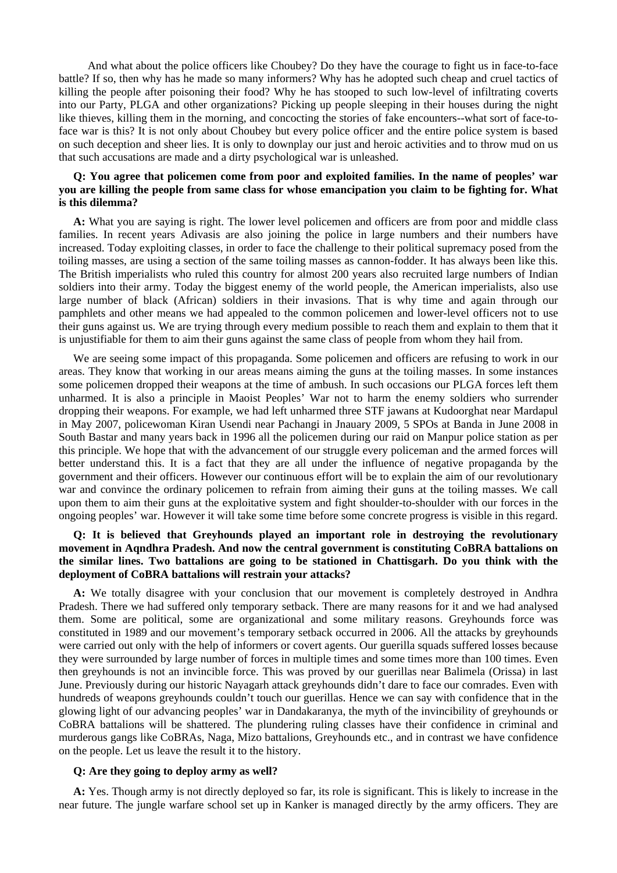And what about the police officers like Choubey? Do they have the courage to fight us in face-to-face battle? If so, then why has he made so many informers? Why has he adopted such cheap and cruel tactics of killing the people after poisoning their food? Why he has stooped to such low-level of infiltrating coverts into our Party, PLGA and other organizations? Picking up people sleeping in their houses during the night like thieves, killing them in the morning, and concocting the stories of fake encounters--what sort of face-toface war is this? It is not only about Choubey but every police officer and the entire police system is based on such deception and sheer lies. It is only to downplay our just and heroic activities and to throw mud on us that such accusations are made and a dirty psychological war is unleashed.

#### **Q: You agree that policemen come from poor and exploited families. In the name of peoples' war you are killing the people from same class for whose emancipation you claim to be fighting for. What is this dilemma?**

**A:** What you are saying is right. The lower level policemen and officers are from poor and middle class families. In recent years Adivasis are also joining the police in large numbers and their numbers have increased. Today exploiting classes, in order to face the challenge to their political supremacy posed from the toiling masses, are using a section of the same toiling masses as cannon-fodder. It has always been like this. The British imperialists who ruled this country for almost 200 years also recruited large numbers of Indian soldiers into their army. Today the biggest enemy of the world people, the American imperialists, also use large number of black (African) soldiers in their invasions. That is why time and again through our pamphlets and other means we had appealed to the common policemen and lower-level officers not to use their guns against us. We are trying through every medium possible to reach them and explain to them that it is unjustifiable for them to aim their guns against the same class of people from whom they hail from.

We are seeing some impact of this propaganda. Some policemen and officers are refusing to work in our areas. They know that working in our areas means aiming the guns at the toiling masses. In some instances some policemen dropped their weapons at the time of ambush. In such occasions our PLGA forces left them unharmed. It is also a principle in Maoist Peoples' War not to harm the enemy soldiers who surrender dropping their weapons. For example, we had left unharmed three STF jawans at Kudoorghat near Mardapul in May 2007, policewoman Kiran Usendi near Pachangi in Jnauary 2009, 5 SPOs at Banda in June 2008 in South Bastar and many years back in 1996 all the policemen during our raid on Manpur police station as per this principle. We hope that with the advancement of our struggle every policeman and the armed forces will better understand this. It is a fact that they are all under the influence of negative propaganda by the government and their officers. However our continuous effort will be to explain the aim of our revolutionary war and convince the ordinary policemen to refrain from aiming their guns at the toiling masses. We call upon them to aim their guns at the exploitative system and fight shoulder-to-shoulder with our forces in the ongoing peoples' war. However it will take some time before some concrete progress is visible in this regard.

# **Q: It is believed that Greyhounds played an important role in destroying the revolutionary movement in Aqndhra Pradesh. And now the central government is constituting CoBRA battalions on the similar lines. Two battalions are going to be stationed in Chattisgarh. Do you think with the deployment of CoBRA battalions will restrain your attacks?**

**A:** We totally disagree with your conclusion that our movement is completely destroyed in Andhra Pradesh. There we had suffered only temporary setback. There are many reasons for it and we had analysed them. Some are political, some are organizational and some military reasons. Greyhounds force was constituted in 1989 and our movement's temporary setback occurred in 2006. All the attacks by greyhounds were carried out only with the help of informers or covert agents. Our guerilla squads suffered losses because they were surrounded by large number of forces in multiple times and some times more than 100 times. Even then greyhounds is not an invincible force. This was proved by our guerillas near Balimela (Orissa) in last June. Previously during our historic Nayagarh attack greyhounds didn't dare to face our comrades. Even with hundreds of weapons greyhounds couldn't touch our guerillas. Hence we can say with confidence that in the glowing light of our advancing peoples' war in Dandakaranya, the myth of the invincibility of greyhounds or CoBRA battalions will be shattered. The plundering ruling classes have their confidence in criminal and murderous gangs like CoBRAs, Naga, Mizo battalions, Greyhounds etc., and in contrast we have confidence on the people. Let us leave the result it to the history.

#### **Q: Are they going to deploy army as well?**

**A:** Yes. Though army is not directly deployed so far, its role is significant. This is likely to increase in the near future. The jungle warfare school set up in Kanker is managed directly by the army officers. They are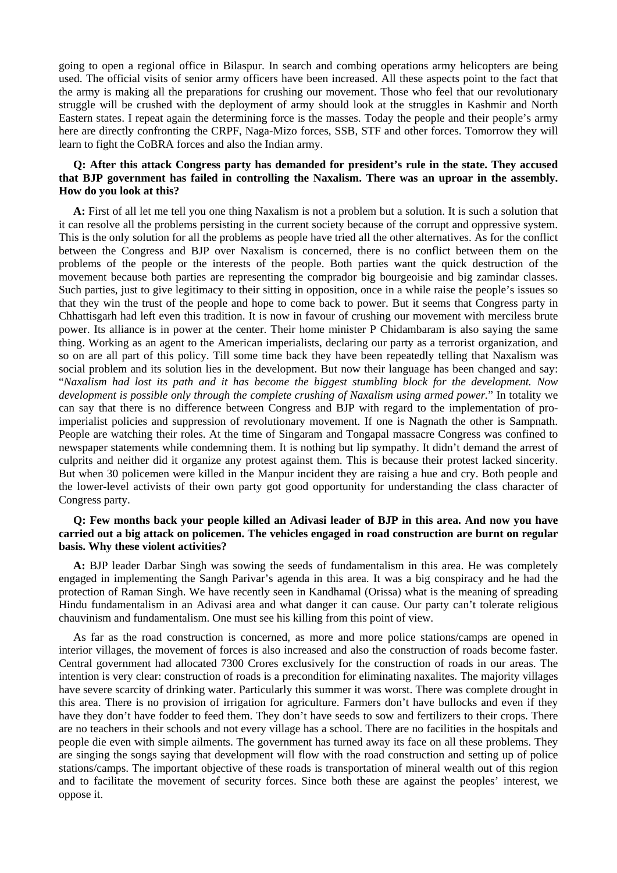going to open a regional office in Bilaspur. In search and combing operations army helicopters are being used. The official visits of senior army officers have been increased. All these aspects point to the fact that the army is making all the preparations for crushing our movement. Those who feel that our revolutionary struggle will be crushed with the deployment of army should look at the struggles in Kashmir and North Eastern states. I repeat again the determining force is the masses. Today the people and their people's army here are directly confronting the CRPF, Naga-Mizo forces, SSB, STF and other forces. Tomorrow they will learn to fight the CoBRA forces and also the Indian army.

#### **Q: After this attack Congress party has demanded for president's rule in the state. They accused that BJP government has failed in controlling the Naxalism. There was an uproar in the assembly. How do you look at this?**

**A:** First of all let me tell you one thing Naxalism is not a problem but a solution. It is such a solution that it can resolve all the problems persisting in the current society because of the corrupt and oppressive system. This is the only solution for all the problems as people have tried all the other alternatives. As for the conflict between the Congress and BJP over Naxalism is concerned, there is no conflict between them on the problems of the people or the interests of the people. Both parties want the quick destruction of the movement because both parties are representing the comprador big bourgeoisie and big zamindar classes. Such parties, just to give legitimacy to their sitting in opposition, once in a while raise the people's issues so that they win the trust of the people and hope to come back to power. But it seems that Congress party in Chhattisgarh had left even this tradition. It is now in favour of crushing our movement with merciless brute power. Its alliance is in power at the center. Their home minister P Chidambaram is also saying the same thing. Working as an agent to the American imperialists, declaring our party as a terrorist organization, and so on are all part of this policy. Till some time back they have been repeatedly telling that Naxalism was social problem and its solution lies in the development. But now their language has been changed and say: "*Naxalism had lost its path and it has become the biggest stumbling block for the development. Now development is possible only through the complete crushing of Naxalism using armed power.*" In totality we can say that there is no difference between Congress and BJP with regard to the implementation of proimperialist policies and suppression of revolutionary movement. If one is Nagnath the other is Sampnath. People are watching their roles. At the time of Singaram and Tongapal massacre Congress was confined to newspaper statements while condemning them. It is nothing but lip sympathy. It didn't demand the arrest of culprits and neither did it organize any protest against them. This is because their protest lacked sincerity. But when 30 policemen were killed in the Manpur incident they are raising a hue and cry. Both people and the lower-level activists of their own party got good opportunity for understanding the class character of Congress party.

#### **Q: Few months back your people killed an Adivasi leader of BJP in this area. And now you have carried out a big attack on policemen. The vehicles engaged in road construction are burnt on regular basis. Why these violent activities?**

**A:** BJP leader Darbar Singh was sowing the seeds of fundamentalism in this area. He was completely engaged in implementing the Sangh Parivar's agenda in this area. It was a big conspiracy and he had the protection of Raman Singh. We have recently seen in Kandhamal (Orissa) what is the meaning of spreading Hindu fundamentalism in an Adivasi area and what danger it can cause. Our party can't tolerate religious chauvinism and fundamentalism. One must see his killing from this point of view.

As far as the road construction is concerned, as more and more police stations/camps are opened in interior villages, the movement of forces is also increased and also the construction of roads become faster. Central government had allocated 7300 Crores exclusively for the construction of roads in our areas. The intention is very clear: construction of roads is a precondition for eliminating naxalites. The majority villages have severe scarcity of drinking water. Particularly this summer it was worst. There was complete drought in this area. There is no provision of irrigation for agriculture. Farmers don't have bullocks and even if they have they don't have fodder to feed them. They don't have seeds to sow and fertilizers to their crops. There are no teachers in their schools and not every village has a school. There are no facilities in the hospitals and people die even with simple ailments. The government has turned away its face on all these problems. They are singing the songs saying that development will flow with the road construction and setting up of police stations/camps. The important objective of these roads is transportation of mineral wealth out of this region and to facilitate the movement of security forces. Since both these are against the peoples' interest, we oppose it.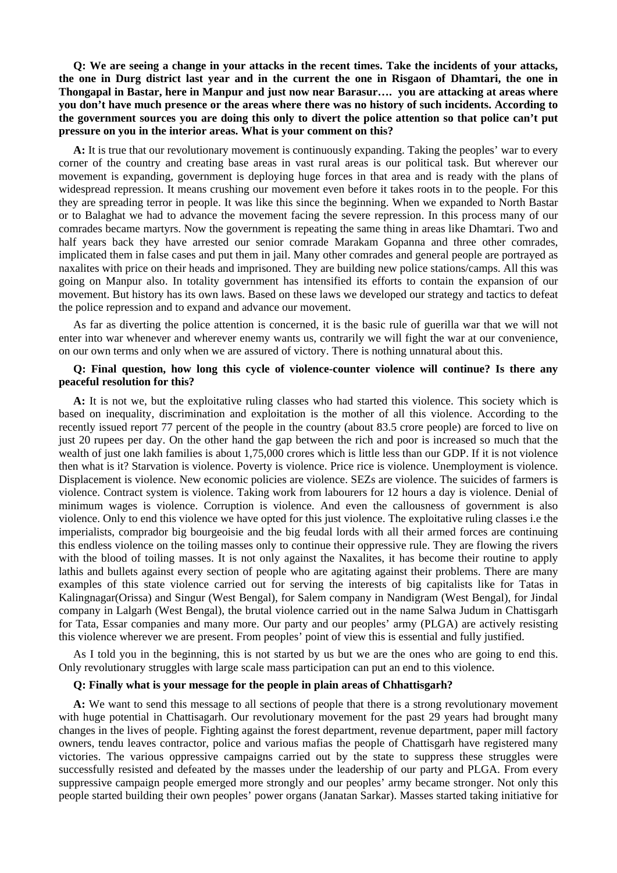**Q: We are seeing a change in your attacks in the recent times. Take the incidents of your attacks, the one in Durg district last year and in the current the one in Risgaon of Dhamtari, the one in Thongapal in Bastar, here in Manpur and just now near Barasur…. you are attacking at areas where you don't have much presence or the areas where there was no history of such incidents. According to the government sources you are doing this only to divert the police attention so that police can't put pressure on you in the interior areas. What is your comment on this?**

**A:** It is true that our revolutionary movement is continuously expanding. Taking the peoples' war to every corner of the country and creating base areas in vast rural areas is our political task. But wherever our movement is expanding, government is deploying huge forces in that area and is ready with the plans of widespread repression. It means crushing our movement even before it takes roots in to the people. For this they are spreading terror in people. It was like this since the beginning. When we expanded to North Bastar or to Balaghat we had to advance the movement facing the severe repression. In this process many of our comrades became martyrs. Now the government is repeating the same thing in areas like Dhamtari. Two and half years back they have arrested our senior comrade Marakam Gopanna and three other comrades, implicated them in false cases and put them in jail. Many other comrades and general people are portrayed as naxalites with price on their heads and imprisoned. They are building new police stations/camps. All this was going on Manpur also. In totality government has intensified its efforts to contain the expansion of our movement. But history has its own laws. Based on these laws we developed our strategy and tactics to defeat the police repression and to expand and advance our movement.

As far as diverting the police attention is concerned, it is the basic rule of guerilla war that we will not enter into war whenever and wherever enemy wants us, contrarily we will fight the war at our convenience, on our own terms and only when we are assured of victory. There is nothing unnatural about this.

#### **Q: Final question, how long this cycle of violence-counter violence will continue? Is there any peaceful resolution for this?**

**A:** It is not we, but the exploitative ruling classes who had started this violence. This society which is based on inequality, discrimination and exploitation is the mother of all this violence. According to the recently issued report 77 percent of the people in the country (about 83.5 crore people) are forced to live on just 20 rupees per day. On the other hand the gap between the rich and poor is increased so much that the wealth of just one lakh families is about 1,75,000 crores which is little less than our GDP. If it is not violence then what is it? Starvation is violence. Poverty is violence. Price rice is violence. Unemployment is violence. Displacement is violence. New economic policies are violence. SEZs are violence. The suicides of farmers is violence. Contract system is violence. Taking work from labourers for 12 hours a day is violence. Denial of minimum wages is violence. Corruption is violence. And even the callousness of government is also violence. Only to end this violence we have opted for this just violence. The exploitative ruling classes i.e the imperialists, comprador big bourgeoisie and the big feudal lords with all their armed forces are continuing this endless violence on the toiling masses only to continue their oppressive rule. They are flowing the rivers with the blood of toiling masses. It is not only against the Naxalites, it has become their routine to apply lathis and bullets against every section of people who are agitating against their problems. There are many examples of this state violence carried out for serving the interests of big capitalists like for Tatas in Kalingnagar(Orissa) and Singur (West Bengal), for Salem company in Nandigram (West Bengal), for Jindal company in Lalgarh (West Bengal), the brutal violence carried out in the name Salwa Judum in Chattisgarh for Tata, Essar companies and many more. Our party and our peoples' army (PLGA) are actively resisting this violence wherever we are present. From peoples' point of view this is essential and fully justified.

As I told you in the beginning, this is not started by us but we are the ones who are going to end this. Only revolutionary struggles with large scale mass participation can put an end to this violence.

#### **Q: Finally what is your message for the people in plain areas of Chhattisgarh?**

**A:** We want to send this message to all sections of people that there is a strong revolutionary movement with huge potential in Chattisagarh. Our revolutionary movement for the past 29 years had brought many changes in the lives of people. Fighting against the forest department, revenue department, paper mill factory owners, tendu leaves contractor, police and various mafias the people of Chattisgarh have registered many victories. The various oppressive campaigns carried out by the state to suppress these struggles were successfully resisted and defeated by the masses under the leadership of our party and PLGA. From every suppressive campaign people emerged more strongly and our peoples' army became stronger. Not only this people started building their own peoples' power organs (Janatan Sarkar). Masses started taking initiative for